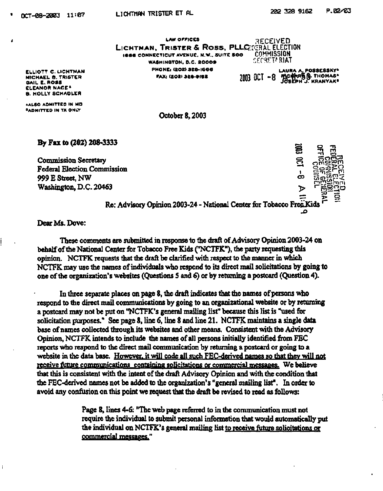**KRANYAK"** 

**LAW OFFICES**  LICHTMAN, TRI**STER & ROSS, PLLC**ORAL ELECTION **166 6 CONNECTICUT AVENUE. N.W.. SUITE SOO WASHINGTON. D.C. 2000 9 PHONEi (202)326-166 6 DECEIVED COMMISSION :;frsri.\*RiAT FAX: (202) 326-9162** 2003 OCT -8 **ftcpft 50. THOMAS**<br>JOSEPH J. KRANYAK<sup>8</sup> LAURA A. POSSESSKY<sup>a</sup>

**ELLIOTT C. LICHTMAN MICHAEL 6 . TRISTER GAIL E. ROSS ELEANOR NACE \* B- HOLLY SCHAOLER** 

**•ALSO ADMITTED IN MD ••ADMITTED IN TX ONLY** 

**October 8,2003** 

**By Fax to (202) 208-3333** 

**Commission Secretary Federal Election Commission 999 E Street, NW Washington, D.C. 20463** 

*CD*  **i CO o -n -n rn**  rnni Sirinni **Re: Advisory Opinion 2003-24 - National Center for Tobacco Free-Kids** 

**Dear Ms. Dove:** 

f.

**These comments are submitted in response to the draft of Advisory Opinion 2003-24 on behalf of the National Center for Tobacco Free Kids ("NCTFK"), the party requesting this opinion. NCTFK requests that the draft be clarified with respect to the manner in which NCTFK may use the names of individuals who respond to its direct mail solicitations by going to one of the organization's websites (Questions 5 and 6) or by returning a postcard (Question 4).** 

**In three separate places on page 8, the draft indicates that the names of persons who respond to the direct mail communications by going to an organizational website or by returning a postcard may not be put on "NCTFK's general mailing list" because this list is "used for solicitation purposes." See page 8, line 6, line 8 and line 21. NCTFK maintains a single data base of names collected through its websites and other means. Consistent with the Advisory Opinion, NCTFK intends to include the names of all persons initially identified from FEC reports who respond to the direct mail communication by returning a postcard or going to a website in the data base. However, it will code all such FEC-derived names so that thev will not receive future communications containing solicitations or commercial messages. We believe that this is consistent with the intent of the draft Advisory Opinion and with the condition that the FEC-derived names not be added to the organization's "general mailing list". In order to avoid any confusion on this point we request that the draft be revised to read as follows:** 

> **Page 8, lines 4-6: "The web page referred to in the communication must not require the individual to submit personal information that would automatically put the individual on NCTFK's general mailing list to receive future solicitations or commercial messages."**